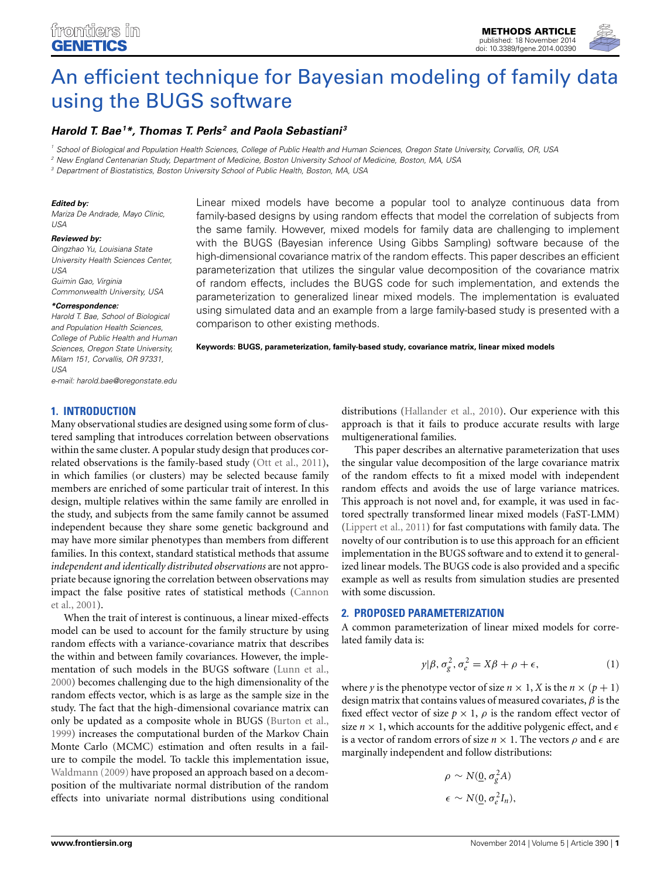# [An efficient technique for Bayesian modeling of family data](http://www.frontiersin.org/journal/10.3389/fgene.2014.00390/abstract) using the BUGS software

# *[Harold T. Bae](http://community.frontiersin.org/people/u/75934)1 \*, [Thomas T. Perls](http://community.frontiersin.org/people/u/42228) <sup>2</sup> and [Paola Sebastiani](http://community.frontiersin.org/people/u/38742) <sup>3</sup>*

*<sup>1</sup> School of Biological and Population Health Sciences, College of Public Health and Human Sciences, Oregon State University, Corvallis, OR, USA*

*<sup>2</sup> New England Centenarian Study, Department of Medicine, Boston University School of Medicine, Boston, MA, USA*

*<sup>3</sup> Department of Biostatistics, Boston University School of Public Health, Boston, MA, USA*

#### *Edited by:*

*Mariza De Andrade, Mayo Clinic, USA*

#### *Reviewed by:*

*Qingzhao Yu, Louisiana State University Health Sciences Center, USA*

*Guimin Gao, Virginia Commonwealth University, USA*

#### *\*Correspondence:*

*Harold T. Bae, School of Biological and Population Health Sciences, College of Public Health and Human Sciences, Oregon State University, Milam 151, Corvallis, OR 97331, USA e-mail: [harold.bae@oregonstate.edu](mailto:harold.bae@oregonstate.edu)*

Linear mixed models have become a popular tool to analyze continuous data from family-based designs by using random effects that model the correlation of subjects from the same family. However, mixed models for family data are challenging to implement with the BUGS (Bayesian inference Using Gibbs Sampling) software because of the high-dimensional covariance matrix of the random effects. This paper describes an efficient parameterization that utilizes the singular value decomposition of the covariance matrix of random effects, includes the BUGS code for such implementation, and extends the parameterization to generalized linear mixed models. The implementation is evaluated using simulated data and an example from a large family-based study is presented with a comparison to other existing methods.

**Keywords: BUGS, parameterization, family-based study, covariance matrix, linear mixed models**

## **1. INTRODUCTION**

Many observational studies are designed using some form of clustered sampling that introduces correlation between observations within the same cluster. A popular study design that produces correlated observations is the family-based study [\(Ott et al., 2011](#page-5-0)), in which families (or clusters) may be selected because family members are enriched of some particular trait of interest. In this design, multiple relatives within the same family are enrolled in the study, and subjects from the same family cannot be assumed independent because they share some genetic background and may have more similar phenotypes than members from different families. In this context, standard statistical methods that assume *independent and identically distributed observations* are not appropriate because ignoring the correlation between observations may imp[act the false positive rates of statistical methods \(](#page-5-1)Cannon et al., [2001\)](#page-5-1).

When the trait of interest is continuous, a linear mixed-effects model can be used to account for the family structure by using random effects with a variance-covariance matrix that describes the within and between family covariances. However, the implementation of such models in the BUGS software [\(Lunn et al.,](#page-5-2) [2000](#page-5-2)) becomes challenging due to the high dimensionality of the random effects vector, which is as large as the sample size in the study. The fact that the high-dimensional covariance matrix can only be updated as a composite whole in BUGS [\(Burton et al.,](#page-5-3) [1999](#page-5-3)) increases the computational burden of the Markov Chain Monte Carlo (MCMC) estimation and often results in a failure to compile the model. To tackle this implementation issue, [Waldmann](#page-5-4) [\(2009\)](#page-5-4) have proposed an approach based on a decomposition of the multivariate normal distribution of the random effects into univariate normal distributions using conditional

distributions [\(Hallander et al.](#page-5-5), [2010](#page-5-5)). Our experience with this approach is that it fails to produce accurate results with large multigenerational families.

This paper describes an alternative parameterization that uses the singular value decomposition of the large covariance matrix of the random effects to fit a mixed model with independent random effects and avoids the use of large variance matrices. This approach is not novel and, for example, it was used in factored spectrally transformed linear mixed models (FaST-LMM) [\(Lippert et al.](#page-5-6), [2011](#page-5-6)) for fast computations with family data. The novelty of our contribution is to use this approach for an efficient implementation in the BUGS software and to extend it to generalized linear models. The BUGS code is also provided and a specific example as well as results from simulation studies are presented with some discussion.

## **2. PROPOSED PARAMETERIZATION**

A common parameterization of linear mixed models for correlated family data is:

$$
y|\beta, \sigma_g^2, \sigma_e^2 = X\beta + \rho + \epsilon,\tag{1}
$$

where *y* is the phenotype vector of size  $n \times 1$ , *X* is the  $n \times (p + 1)$ design matrix that contains values of measured covariates,  $\beta$  is the fixed effect vector of size  $p \times 1$ ,  $\rho$  is the random effect vector of size  $n \times 1$ , which accounts for the additive polygenic effect, and  $\epsilon$ is a vector of random errors of size  $n \times 1$ . The vectors  $\rho$  and  $\epsilon$  are marginally independent and follow distributions:

$$
\rho \sim N(\underline{0}, \sigma_g^2 A)
$$
  

$$
\epsilon \sim N(\underline{0}, \sigma_e^2 I_n),
$$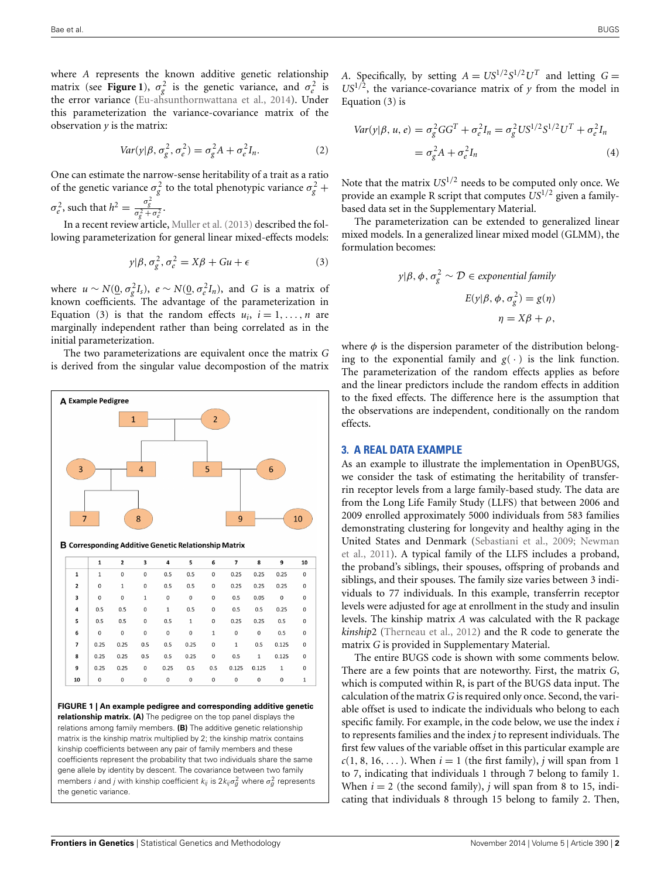where *A* represents the known additive genetic relationship matrix (see **[Figure 1](#page-1-0)**),  $\sigma_g^2$  is the genetic variance, and  $\sigma_e^2$  is the error variance [\(Eu-ahsunthornwattana et al., 2014](#page-5-7)). Under this parameterization the variance-covariance matrix of the observation  $y$  is the matrix:

$$
Var(y|\beta, \sigma_g^2, \sigma_e^2) = \sigma_g^2 A + \sigma_e^2 I_n.
$$
 (2)

One can estimate the narrow-sense heritability of a trait as a ratio of the genetic variance  $\sigma_g^2$  to the total phenotypic variance  $\sigma_g^2$  +

$$
\sigma_e^2
$$
, such that  $h^2 = \frac{\sigma_g^2}{\sigma_g^2 + \sigma_e^2}$ .

In a recent review article, [Muller et al.](#page-5-8) [\(2013\)](#page-5-8) described the following parameterization for general linear mixed-effects models:

$$
y|\beta, \sigma_g^2, \sigma_e^2 = X\beta + Gu + \epsilon \tag{3}
$$

where  $u \sim N(\underline{0}, \sigma_g^2 I_s)$ ,  $e \sim N(\underline{0}, \sigma_e^2 I_n)$ , and *G* is a matrix of known coefficients. The advantage of the parameterization in Equation (3) is that the random effects  $u_i$ ,  $i = 1, \ldots, n$  are marginally independent rather than being correlated as in the initial parameterization.

The two parameterizations are equivalent once the matrix *G* is derived from the singular value decompostion of the matrix



<span id="page-1-0"></span>**FIGURE 1 | An example pedigree and corresponding additive genetic relationship matrix. (A)** The pedigree on the top panel displays the relations among family members. **(B)** The additive genetic relationship matrix is the kinship matrix multiplied by 2; the kinship matrix contains kinship coefficients between any pair of family members and these coefficients represent the probability that two individuals share the same gene allele by identity by descent. The covariance between two family members *i* and *j* with kinship coefficient  $k_{ij}$  is 2 $k_{ij}\sigma_g^2$  where  $\sigma_g^2$  represents the genetic variance.

*A*. Specifically, by setting  $A = US^{1/2}S^{1/2}U^{T}$  and letting  $G =$  $US^{1/2}$ , the variance-covariance matrix of *y* from the model in Equation (3) is

$$
Var(y|\beta, u, e) = \sigma_g^2 GG^T + \sigma_e^2 I_n = \sigma_g^2 US^{1/2} S^{1/2} U^T + \sigma_e^2 I_n
$$
  
=  $\sigma_g^2 A + \sigma_e^2 I_n$  (4)

Note that the matrix *US*1/<sup>2</sup> needs to be computed only once. We provide an example R script that computes *US*1/<sup>2</sup> given a familybased data set in the Supplementary Material.

The parameterization can be extended to generalized linear mixed models. In a generalized linear mixed model (GLMM), the formulation becomes:

$$
y|\beta, \phi, \sigma_g^2 \sim \mathcal{D} \in exponential family
$$
  

$$
E(y|\beta, \phi, \sigma_g^2) = g(\eta)
$$
  

$$
\eta = X\beta + \rho,
$$

where  $\phi$  is the dispersion parameter of the distribution belonging to the exponential family and  $g(\cdot)$  is the link function. The parameterization of the random effects applies as before and the linear predictors include the random effects in addition to the fixed effects. The difference here is the assumption that the observations are independent, conditionally on the random effects.

#### **3. A REAL DATA EXAMPLE**

As an example to illustrate the implementation in OpenBUGS, we consider the task of estimating the heritability of transferrin receptor levels from a large family-based study. The data are from the Long Life Family Study (LLFS) that between 2006 and 2009 enrolled approximately 5000 individuals from 583 families demonstrating clustering for longevity and healthy aging in the Unit[ed States and Denmark](#page-5-10) [\(Sebastiani et al.](#page-5-9)[,](#page-5-10) [2009](#page-5-9)[;](#page-5-10) Newman et al., [2011\)](#page-5-10). A typical family of the LLFS includes a proband, the proband's siblings, their spouses, offspring of probands and siblings, and their spouses. The family size varies between 3 individuals to 77 individuals. In this example, transferrin receptor levels were adjusted for age at enrollment in the study and insulin levels. The kinship matrix *A* was calculated with the R package *kinship*2 [\(Therneau et al., 2012](#page-5-11)) and the R code to generate the matrix *G* is provided in Supplementary Material.

The entire BUGS code is shown with some comments below. There are a few points that are noteworthy. First, the matrix *G*, which is computed within R, is part of the BUGS data input. The calculation of the matrix *G* is required only once. Second, the variable offset is used to indicate the individuals who belong to each specific family. For example, in the code below, we use the index *i* to represents families and the index *j* to represent individuals. The first few values of the variable offset in this particular example are  $c(1, 8, 16,...)$ . When  $i = 1$  (the first family), *j* will span from 1 to 7, indicating that individuals 1 through 7 belong to family 1. When  $i = 2$  (the second family), *j* will span from 8 to 15, indicating that individuals 8 through 15 belong to family 2. Then,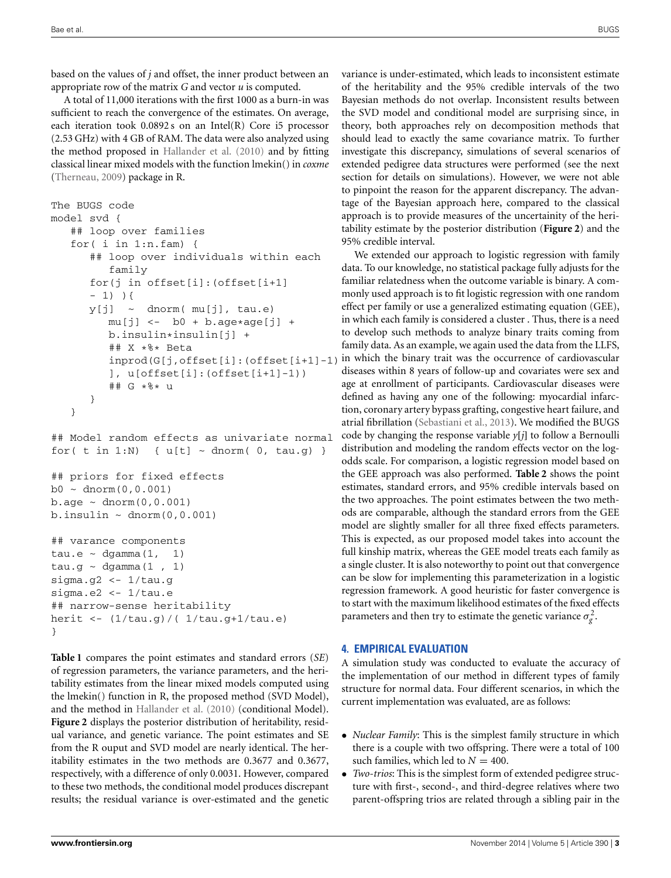based on the values of *j* and offset, the inner product between an appropriate row of the matrix *G* and vector *u* is computed.

A total of 11,000 iterations with the first 1000 as a burn-in was sufficient to reach the convergence of the estimates. On average, each iteration took 0.0892 s on an Intel(R) Core i5 processor (2.53 GHz) with 4 GB of RAM. The data were also analyzed using the method proposed in [Hallander et al.](#page-5-5) [\(2010\)](#page-5-5) and by fitting classical linear mixed models with the function lmekin() in *coxme* [\(Therneau, 2009](#page-5-12)) package in R.

```
The BUGS code
model svd {
   ## loop over families
   for( i in 1:n.fam) {
      ## loop over individuals within each
         family
      for(j in offset[i]:(offset[i+1]
      -1) ) {
      y[j] ~ dnorm(mu[j], tau.e)
         mu[j] \leftarrow b0 + b.age*age[j] +b.insulin*insulin[j] +
         ## X *%* Beta
         inprod(G[j,offset[i]:(offset[i+1]-1)
         ], u[offset[i]:(offset[i+1]-1))
         ## G *%* u
      }
   }
```
## Model random effects as univariate normal for( t in 1:N) {  $u[t]$  ~ dnorm( 0, tau.q) }

```
## priors for fixed effects
b0 \sim \text{dnorm}(0, 0.001)b.age ~ dom(0, 0.001)b.insulin \sim dnorm(0, 0.001)
```

```
## varance components
tau.e ~ dgamma(1, 1)tau.g \sim dgamma(1, 1)sigma.g2 < -1/tau.gsigma.e2 <- 1/tau.e
## narrow-sense heritability
herit <- (1/tau.g)/( 1/tau.g+1/tau.e)
}
```
**[Table 1](#page-3-0)** compares the point estimates and standard errors (*SE*) of regression parameters, the variance parameters, and the heritability estimates from the linear mixed models computed using the lmekin() function in R, the proposed method (SVD Model), and the method in [Hallander et al.](#page-5-5) [\(2010](#page-5-5)) (conditional Model). **[Figure 2](#page-3-1)** displays the posterior distribution of heritability, residual variance, and genetic variance. The point estimates and SE from the R ouput and SVD model are nearly identical. The heritability estimates in the two methods are 0.3677 and 0.3677, respectively, with a difference of only 0.0031. However, compared to these two methods, the conditional model produces discrepant results; the residual variance is over-estimated and the genetic variance is under-estimated, which leads to inconsistent estimate of the heritability and the 95% credible intervals of the two Bayesian methods do not overlap. Inconsistent results between the SVD model and conditional model are surprising since, in theory, both approaches rely on decomposition methods that should lead to exactly the same covariance matrix. To further investigate this discrepancy, simulations of several scenarios of extended pedigree data structures were performed (see the next section for details on simulations). However, we were not able to pinpoint the reason for the apparent discrepancy. The advantage of the Bayesian approach here, compared to the classical approach is to provide measures of the uncertainity of the heritability estimate by the posterior distribution (**[Figure 2](#page-3-1)**) and the 95% credible interval.

We extended our approach to logistic regression with family data. To our knowledge, no statistical package fully adjusts for the familiar relatedness when the outcome variable is binary. A commonly used approach is to fit logistic regression with one random effect per family or use a generalized estimating equation (GEE), in which each family is considered a cluster . Thus, there is a need to develop such methods to analyze binary traits coming from family data. As an example, we again used the data from the LLFS, in which the binary trait was the occurrence of cardiovascular diseases within 8 years of follow-up and covariates were sex and age at enrollment of participants. Cardiovascular diseases were defined as having any one of the following: myocardial infarction, coronary artery bypass grafting, congestive heart failure, and atrial fibrillation [\(Sebastiani et al.](#page-5-13), [2013\)](#page-5-13). We modified the BUGS code by changing the response variable *y*[*j*] to follow a Bernoulli distribution and modeling the random effects vector on the logodds scale. For comparison, a logistic regression model based on the GEE approach was also performed. **[Table 2](#page-4-0)** shows the point estimates, standard errors, and 95% credible intervals based on the two approaches. The point estimates between the two methods are comparable, although the standard errors from the GEE model are slightly smaller for all three fixed effects parameters. This is expected, as our proposed model takes into account the full kinship matrix, whereas the GEE model treats each family as a single cluster. It is also noteworthy to point out that convergence can be slow for implementing this parameterization in a logistic regression framework. A good heuristic for faster convergence is to start with the maximum likelihood estimates of the fixed effects parameters and then try to estimate the genetic variance  $\sigma_g^2$ .

## **4. EMPIRICAL EVALUATION**

A simulation study was conducted to evaluate the accuracy of the implementation of our method in different types of family structure for normal data. Four different scenarios, in which the current implementation was evaluated, are as follows:

- *Nuclear Family*: This is the simplest family structure in which there is a couple with two offspring. There were a total of 100 such families, which led to  $N = 400$ .
- *Two-trios*: This is the simplest form of extended pedigree structure with first-, second-, and third-degree relatives where two parent-offspring trios are related through a sibling pair in the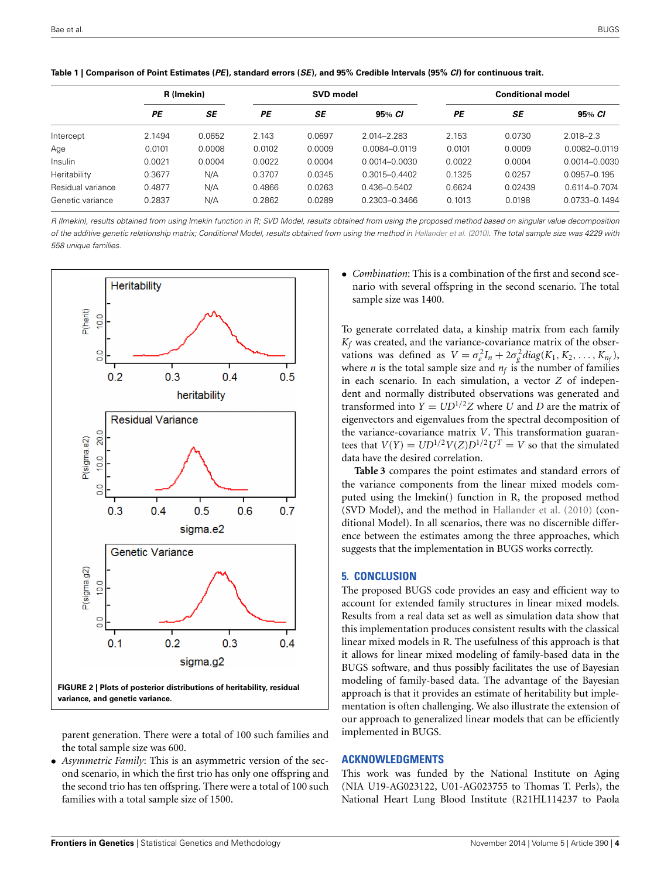|                   | R (Imekin) |        | <b>SVD model</b> |        |                   | <b>Conditional model</b> |         |                   |
|-------------------|------------|--------|------------------|--------|-------------------|--------------------------|---------|-------------------|
|                   | РE         | SE     | РE               | SE     | 95% CI            | РE                       | SE      | 95% CI            |
| Intercept         | 2.1494     | 0.0652 | 2.143            | 0.0697 | 2.014-2.283       | 2.153                    | 0.0730  | $2.018 - 2.3$     |
| Age               | 0.0101     | 0.0008 | 0.0102           | 0.0009 | $0.0084 - 0.0119$ | 0.0101                   | 0.0009  | $0.0082 - 0.0119$ |
| Insulin           | 0.0021     | 0.0004 | 0.0022           | 0.0004 | $0.0014 - 0.0030$ | 0.0022                   | 0.0004  | 0.0014-0.0030     |
| Heritability      | 0.3677     | N/A    | 0.3707           | 0.0345 | $0.3015 - 0.4402$ | 0.1325                   | 0.0257  | $0.0957 - 0.195$  |
| Residual variance | 0.4877     | N/A    | 0.4866           | 0.0263 | 0.436-0.5402      | 0.6624                   | 0.02439 | 0.6114-0.7074     |
| Genetic variance  | 0.2837     | N/A    | 0.2862           | 0.0289 | 0.2303-0.3466     | 0.1013                   | 0.0198  | 0.0733-0.1494     |

<span id="page-3-0"></span>**Table 1 | Comparison of Point Estimates (***PE***), standard errors (***SE***), and 95% Credible Intervals (95%** *CI***) for continuous trait.**

*R (lmekin), results obtained from using lmekin function in R; SVD Model, results obtained from using the proposed method based on singular value decomposition of the additive genetic relationship matrix; Conditional Model, results obtained from using the method in [Hallander et al. \(2010\)](#page-5-5). The total sample size was 4229 with 558 unique families.*



<span id="page-3-1"></span>parent generation. There were a total of 100 such families and the total sample size was 600.

• *Asymmetric Family*: This is an asymmetric version of the second scenario, in which the first trio has only one offspring and the second trio has ten offspring. There were a total of 100 such families with a total sample size of 1500.

• *Combination*: This is a combination of the first and second scenario with several offspring in the second scenario. The total sample size was 1400.

To generate correlated data, a kinship matrix from each family *Kf* was created, and the variance-covariance matrix of the observations was defined as  $V = \sigma_e^2 I_n + 2\sigma_g^2 diag(K_1, K_2, \dots, K_{n_f})$ , where *n* is the total sample size and  $n_f$  is the number of families in each scenario. In each simulation, a vector *Z* of independent and normally distributed observations was generated and transformed into  $\dot{Y} = UD^{1/2}Z$  where *U* and *D* are the matrix of eigenvectors and eigenvalues from the spectral decomposition of the variance-covariance matrix *V*. This transformation guarantees that  $V(Y) = UD^{1/2}V(Z)D^{1/2}U^{T} = V$  so that the simulated data have the desired correlation.

**[Table 3](#page-4-1)** compares the point estimates and standard errors of the variance components from the linear mixed models computed using the lmekin() function in R, the proposed method (SVD Model), and the method in [Hallander et al.](#page-5-5) [\(2010](#page-5-5)) (conditional Model). In all scenarios, there was no discernible difference between the estimates among the three approaches, which suggests that the implementation in BUGS works correctly.

## **5. CONCLUSION**

The proposed BUGS code provides an easy and efficient way to account for extended family structures in linear mixed models. Results from a real data set as well as simulation data show that this implementation produces consistent results with the classical linear mixed models in R. The usefulness of this approach is that it allows for linear mixed modeling of family-based data in the BUGS software, and thus possibly facilitates the use of Bayesian modeling of family-based data. The advantage of the Bayesian approach is that it provides an estimate of heritability but implementation is often challenging. We also illustrate the extension of our approach to generalized linear models that can be efficiently implemented in BUGS.

#### **ACKNOWLEDGMENTS**

This work was funded by the National Institute on Aging (NIA U19-AG023122, U01-AG023755 to Thomas T. Perls), the National Heart Lung Blood Institute (R21HL114237 to Paola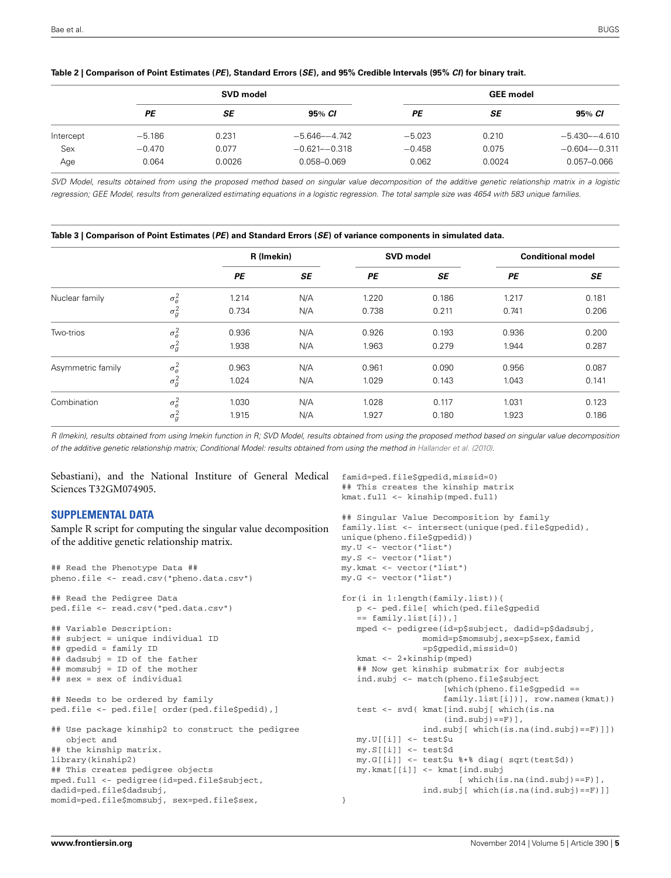|           |          | <b>SVD model</b> |                   |          | <b>GEE model</b> |                   |
|-----------|----------|------------------|-------------------|----------|------------------|-------------------|
|           | РE       | SE               | 95% CI            | РE       | SE               | 95% CI            |
| Intercept | $-5.186$ | 0.231            | $-5.646 - -4.742$ | $-5.023$ | 0.210            | $-5.430 - -4.610$ |
| Sex       | $-0.470$ | 0.077            | $-0.621 - -0.318$ | $-0.458$ | 0.075            | $-0.604 - 0.311$  |
| Age       | 0.064    | 0.0026           | $0.058 - 0.069$   | 0.062    | 0.0024           | $0.057 - 0.066$   |

<span id="page-4-0"></span>**Table 2 | Comparison of Point Estimates (***PE***), Standard Errors (***SE***), and 95% Credible Intervals (95%** *CI***) for binary trait.**

*SVD Model, results obtained from using the proposed method based on singular value decomposition of the additive genetic relationship matrix in a logistic regression; GEE Model, results from generalized estimating equations in a logistic regression. The total sample size was 4654 with 583 unique families.*

<span id="page-4-1"></span>

|  | Table 3   Comparison of Point Estimates ( <i>PE</i> ) and Standard Errors ( <i>SE</i> ) of variance components in simulated data. |
|--|-----------------------------------------------------------------------------------------------------------------------------------|
|--|-----------------------------------------------------------------------------------------------------------------------------------|

|                   |              | R (Imekin) |           | <b>SVD model</b> |           | <b>Conditional model</b> |           |
|-------------------|--------------|------------|-----------|------------------|-----------|--------------------------|-----------|
|                   |              | PE         | <b>SE</b> | PE               | <b>SE</b> | PE                       | <b>SE</b> |
| Nuclear family    | $\sigma_e^2$ | 1.214      | N/A       | 1.220            | 0.186     | 1.217                    | 0.181     |
|                   | $\sigma_g^2$ | 0.734      | N/A       | 0.738            | 0.211     | 0.741                    | 0.206     |
| Two-trios         | $\sigma_e^2$ | 0.936      | N/A       | 0.926            | 0.193     | 0.936                    | 0.200     |
|                   | $\sigma_g^2$ | 1.938      | N/A       | 1.963            | 0.279     | 1.944                    | 0.287     |
| Asymmetric family | $\sigma_e^2$ | 0.963      | N/A       | 0.961            | 0.090     | 0.956                    | 0.087     |
|                   | $\sigma_g^2$ | 1.024      | N/A       | 1.029            | 0.143     | 1.043                    | 0.141     |
| Combination       | $\sigma_e^2$ | 1.030      | N/A       | 1.028            | 0.117     | 1.031                    | 0.123     |
|                   | $\sigma_g^2$ | 1.915      | N/A       | 1.927            | 0.180     | 1.923                    | 0.186     |

*R (lmekin), results obtained from using lmekin function in R; SVD Model, results obtained from using the proposed method based on singular value decomposition of the additive genetic relationship matrix; Conditional Model: results obtained from using the method in [Hallander et al.](#page-5-5) [\(2010](#page-5-5)).*

Sebastiani), and the National Institure of General Medical Sciences T32GM074905. **SUPPLEMENTAL DATA** Sample R script for computing the singular value decomposition of the additive genetic relationship matrix. ## Read the Phenotype Data ## pheno.file <- read.csv("pheno.data.csv") ## Read the Pedigree Data ped.file <- read.csv("ped.data.csv") ## Variable Description: ## subject = unique individual ID ## gpedid = family ID ## dadsubj = ID of the father ## momsubj = ID of the mother ## sex = sex of individual ## Needs to be ordered by family ped.file <- ped.file[ order(ped.file\$pedid),] ## Use package kinship2 to construct the pedigree object and ## the kinship matrix. library(kinship2) ## This creates pedigree objects mped.full <- pedigree(id=ped.file\$subject, dadid=ped.file\$dadsubj, momid=ped.file\$momsubj, sex=ped.file\$sex, famid=ped.file\$gpedid,missid=0) ## This creates the kinship matrix kmat.full <- kinship(mped.full) ## Singular Value Decomposition by family family.list <- intersect(unique(ped.file\$gpedid), unique(pheno.file\$gpedid)) my.U <- vector("list") my.S <- vector("list") my.kmat <- vector("list") my.G <- vector("list") for(i in 1:length(family.list)){ p <- ped.file[ which(ped.file\$gpedid  $=$  family.list[i]),] mped <- pedigree(id=p\$subject, dadid=p\$dadsubj, momid=p\$momsubj,sex=p\$sex,famid =p\$gpedid,missid=0) kmat <- 2\*kinship(mped) ## Now get kinship submatrix for subjects ind.subj <- match(pheno.file\$subject [which(pheno.file\$gpedid == family.list[i])], row.names(kmat)) test <- svd( kmat[ind.subj[ which(is.na  $(ind.subj) == F)$ ], ind.subj[ which(is.na(ind.subj)==F)]]) my.U[[i]] <- test\$u my.S[[i]] <- test\$d my.G[[i]] <- test\$u %\*% diag( sqrt(test\$d)) my.kmat[[i]] <- kmat[ind.subj [ which(is.na(ind.subj)==F)], ind.subj[ which(is.na(ind.subj)==F)]] }